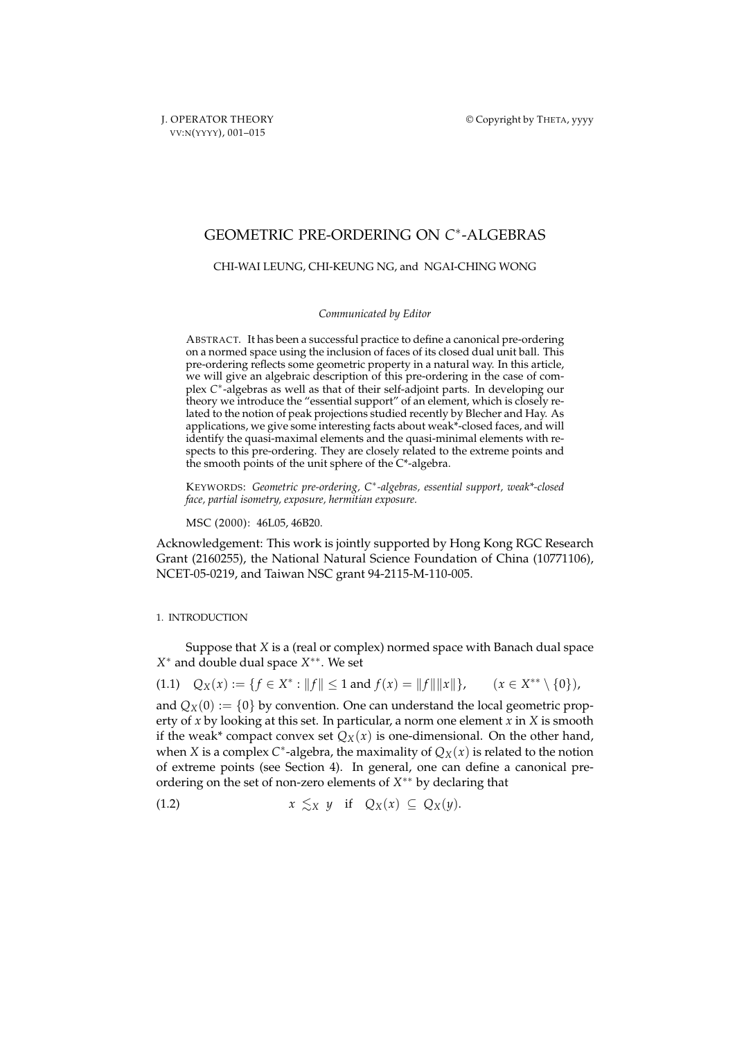J. OPERATOR THEORY VV:N(YYYY), 001–015

# GEOMETRIC PRE-ORDERING ON *C* ∗ -ALGEBRAS

### CHI-WAI LEUNG, CHI-KEUNG NG, and NGAI-CHING WONG

#### *Communicated by Editor*

ABSTRACT. It has been a successful practice to define a canonical pre-ordering on a normed space using the inclusion of faces of its closed dual unit ball. This pre-ordering reflects some geometric property in a natural way. In this article, we will give an algebraic description of this pre-ordering in the case of complex C<sup>\*</sup>-algebras as well as that of their self-adjoint parts. In developing our theory we introduce the "essential support" of an element, which is closely related to the notion of peak projections studied recently by Blecher and Hay. As applications, we give some interesting facts about weak\*-closed faces, and will identify the quasi-maximal elements and the quasi-minimal elements with respects to this pre-ordering. They are closely related to the extreme points and the smooth points of the unit sphere of the C\*-algebra.

KEYWORDS: *Geometric pre-ordering, C*<sup>∗</sup> *-algebras, essential support, weak\*-closed face, partial isometry, exposure, hermitian exposure.*

MSC (2000): 46L05, 46B20.

Acknowledgement: This work is jointly supported by Hong Kong RGC Research Grant (2160255), the National Natural Science Foundation of China (10771106), NCET-05-0219, and Taiwan NSC grant 94-2115-M-110-005.

## 1. INTRODUCTION

Suppose that *X* is a (real or complex) normed space with Banach dual space *X* <sup>∗</sup> and double dual space *X* ∗∗. We set

(1.1)  $Q_X(x) := \{ f \in X^* : ||f|| \le 1 \text{ and } f(x) = ||f|| ||x|| \}, \quad (x \in X)$  $(x \in X^{**} \setminus \{0\})$ ,

and  $Q_X(0) := \{0\}$  by convention. One can understand the local geometric property of *x* by looking at this set. In particular, a norm one element *x* in *X* is smooth if the weak\* compact convex set  $Q_X(x)$  is one-dimensional. On the other hand, when *X* is a complex  $C^*$ -algebra, the maximality of  $Q_X(x)$  is related to the notion of extreme points (see Section 4). In general, one can define a canonical preordering on the set of non-zero elements of *X* ∗∗ by declaring that

$$
(1.2) \t\t x \leq_X y \t\t \text{if} \tQ_X(x) \subseteq Q_X(y).
$$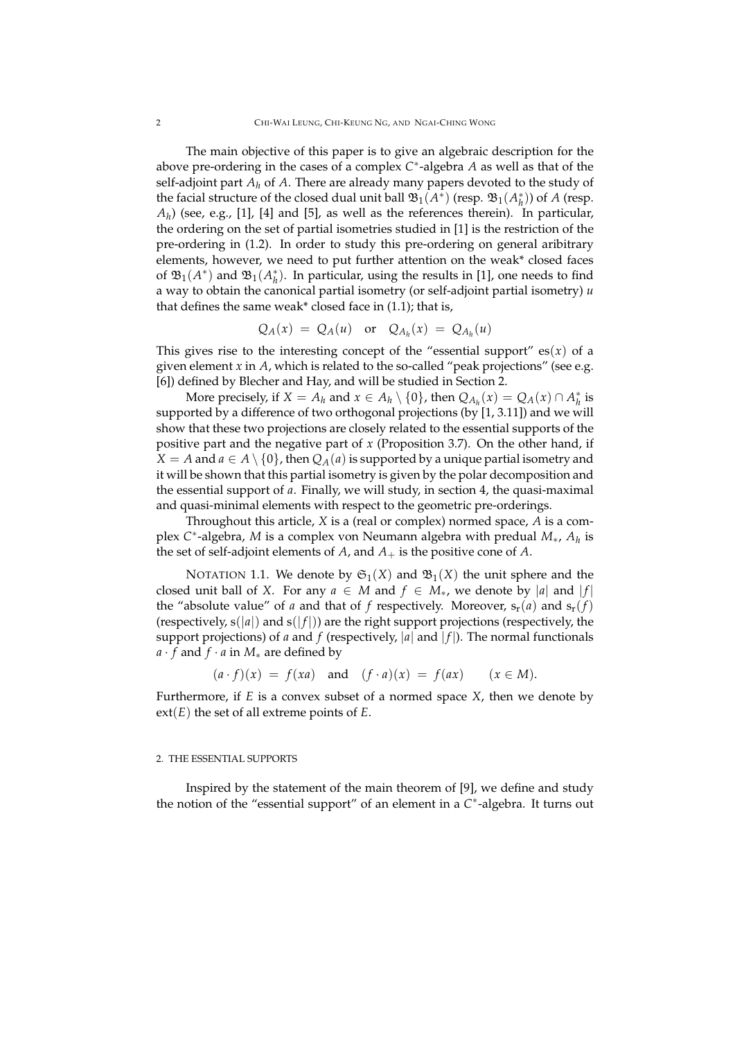The main objective of this paper is to give an algebraic description for the above pre-ordering in the cases of a complex *C* ∗ -algebra *A* as well as that of the self-adjoint part  $A_h$  of  $A$ . There are already many papers devoted to the study of the facial structure of the closed dual unit ball  $\mathfrak{B}_1(A^*)$  (resp.  $\mathfrak{B}_1(A^*_h)$ ) of *A* (resp.  $A_h$ ) (see, e.g., [1], [4] and [5], as well as the references therein). In particular, the ordering on the set of partial isometries studied in [1] is the restriction of the pre-ordering in (1.2). In order to study this pre-ordering on general aribitrary elements, however, we need to put further attention on the weak\* closed faces of  $\mathfrak{B}_{1}(A^*)$  and  $\mathfrak{B}_{1}(A^*_{h})$ . In particular, using the results in [1], one needs to find a way to obtain the canonical partial isometry (or self-adjoint partial isometry) *u* that defines the same weak\* closed face in (1.1); that is,

$$
Q_A(x) = Q_A(u) \text{ or } Q_{A_h}(x) = Q_{A_h}(u)
$$

This gives rise to the interesting concept of the "essential support"  $es(x)$  of a given element *x* in *A*, which is related to the so-called "peak projections" (see e.g. [6]) defined by Blecher and Hay, and will be studied in Section 2.

More precisely, if  $X = A_h$  and  $x \in A_h \setminus \{0\}$ , then  $Q_{A_h}(x) = Q_A(x) \cap A_h^*$  is supported by a difference of two orthogonal projections (by [1, 3.11]) and we will show that these two projections are closely related to the essential supports of the positive part and the negative part of *x* (Proposition 3.7). On the other hand, if *X* = *A* and *a*  $\in$  *A*  $\setminus$  {0}, then *Q<sub>A</sub>*(*a*) is supported by a unique partial isometry and it will be shown that this partial isometry is given by the polar decomposition and the essential support of *a*. Finally, we will study, in section 4, the quasi-maximal and quasi-minimal elements with respect to the geometric pre-orderings.

Throughout this article, *X* is a (real or complex) normed space, *A* is a complex *C* ∗ -algebra, *M* is a complex von Neumann algebra with predual *M*∗, *A<sup>h</sup>* is the set of self-adjoint elements of  $A$ , and  $A_+$  is the positive cone of  $A$ .

NOTATION 1.1. We denote by  $\mathfrak{S}_1(X)$  and  $\mathfrak{B}_1(X)$  the unit sphere and the closed unit ball of *X*. For any  $a \in M$  and  $f \in M_*$ , we denote by |a| and |f| the "absolute value" of *a* and that of *f* respectively. Moreover,  $s_r(a)$  and  $s_r(f)$ (respectively,  $s(|a|)$  and  $s(|f|)$ ) are the right support projections (respectively, the support projections) of *a* and *f* (respectively,  $|a|$  and  $|f|$ ). The normal functionals *a* · *f* and *f* · *a* in *M*<sup>∗</sup> are defined by

$$
(a \cdot f)(x) = f(xa) \quad \text{and} \quad (f \cdot a)(x) = f(ax) \qquad (x \in M).
$$

Furthermore, if *E* is a convex subset of a normed space *X*, then we denote by ext(*E*) the set of all extreme points of *E*.

#### 2. THE ESSENTIAL SUPPORTS

Inspired by the statement of the main theorem of [9], we define and study the notion of the "essential support" of an element in a C<sup>\*</sup>-algebra. It turns out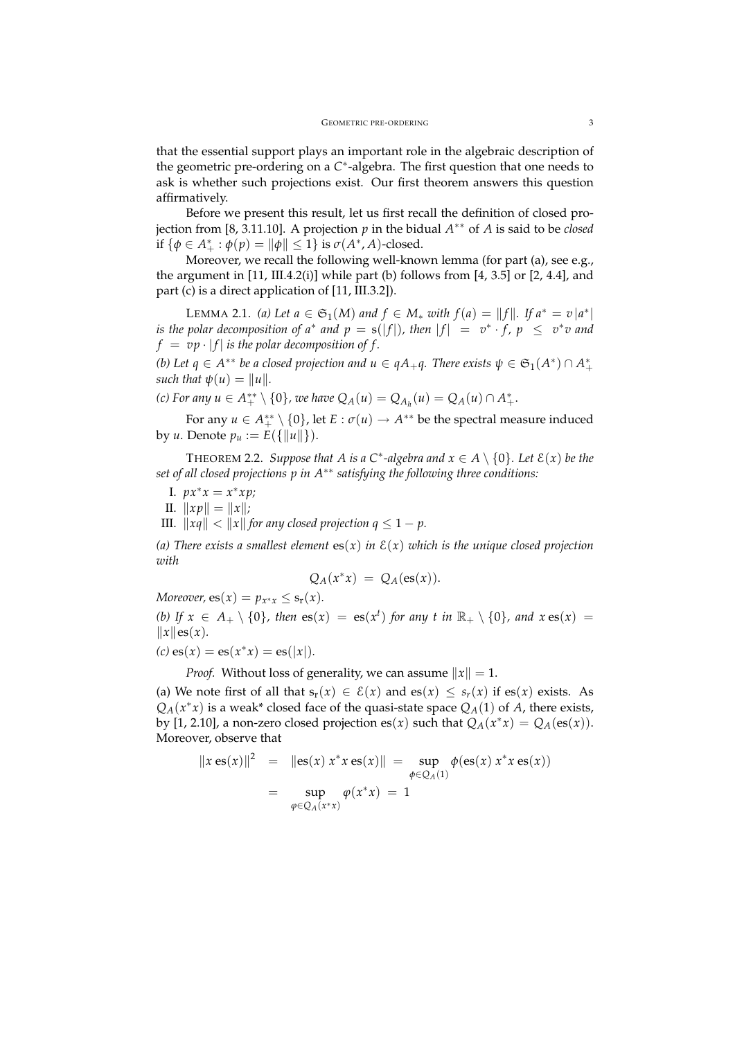that the essential support plays an important role in the algebraic description of the geometric pre-ordering on a *C* ∗ -algebra. The first question that one needs to ask is whether such projections exist. Our first theorem answers this question affirmatively.

Before we present this result, let us first recall the definition of closed projection from [8, 3.11.10]. A projection *p* in the bidual *A* ∗∗ of *A* is said to be *closed* if  $\{\phi \in A_+^* : \phi(p) = ||\phi|| \le 1\}$  is  $\sigma(A^*, A)$ -closed.

Moreover, we recall the following well-known lemma (for part (a), see e.g., the argument in  $[11, III.4.2(i)]$  while part (b) follows from  $[4, 3.5]$  or  $[2, 4.4]$ , and part (c) is a direct application of [11, III.3.2]).

LEMMA 2.1. *(a)* Let *a* ∈  $\mathfrak{S}_1(M)$  *and f* ∈ *M*<sup>∗</sup> *with f*(*a*) = ||*f*||*. If*  $a^* = v |a^*|$ *is the polar decomposition of a<sup>\*</sup> and*  $p = s(|f|)$ *, then*  $|f| = v^* \cdot f$ ,  $p \le v^*v$  and  $f = v p \cdot |f|$  *is the polar decomposition of f.* 

*(b)* Let  $q \in A^{**}$  be a closed projection and  $u \in qA_+q$ . There exists  $\psi \in \mathfrak{S}_1(A^*) \cap A^*$ *such that*  $\psi(u) = ||u||$ .

*(c)* For any  $u \in A_{+}^{**} \setminus \{0\}$ , we have  $Q_A(u) = Q_{A_h}(u) = Q_A(u) \cap A_{+}^{*}$ .

For any  $u \in A_{+}^{**} \setminus \{0\}$ , let  $E : \sigma(u) \to A^{**}$  be the spectral measure induced by *u*. Denote  $p_u := E({\{\|u\|\}}).$ 

**THEOREM 2.2.** *Suppose that A is a*  $C^*$ -algebra and  $x \in A \setminus \{0\}$ *. Let*  $\mathcal{E}(x)$  *be the set of all closed projections p in A*∗∗ *satisfying the following three conditions:*

- *I.*  $px^*x = x^*xp;$
- II.  $||xp|| = ||x||;$
- III.  $\|xq\| < \|x\|$  for any closed projection  $q \leq 1 p$ .

*(a)* There exists a smallest element  $es(x)$  *in*  $E(x)$  *which is the unique closed projection with*

$$
Q_A(x^*x) = Q_A(\mathbf{es}(x)).
$$

*Moreover,*  $es(x) = p_{x^*x} \leq s_r(x)$ *. (b)* If  $x \in A_+ \setminus \{0\}$ , then  $es(x) = es(x^t)$  for any t in  $\mathbb{R}_+ \setminus \{0\}$ , and  $x \, es(x) =$  $\|x\|$ es $(x)$ *.* 

$$
(c) \operatorname{es}(x) = \operatorname{es}(x^*x) = \operatorname{es}(|x|).
$$

*Proof.* Without loss of generality, we can assume  $||x|| = 1$ .

(a) We note first of all that  $s_r(x) \in \mathcal{E}(x)$  and  $es(x) \leq s_r(x)$  if  $es(x)$  exists. As  $Q_A(x^*x)$  is a weak<sup>\*</sup> closed face of the quasi-state space  $Q_A(1)$  of *A*, there exists, by [1, 2.10], a non-zero closed projection es(*x*) such that  $Q_A(x^*x) = Q_A(\text{es}(x))$ . Moreover, observe that

$$
||x \operatorname{es}(x)||^2 = ||\operatorname{es}(x) x^* x \operatorname{es}(x)|| = \sup_{\phi \in Q_A(1)} \phi(\operatorname{es}(x) x^* x \operatorname{es}(x))
$$
  
= 
$$
\sup_{\phi \in Q_A(x^*x)} \phi(x^* x) = 1
$$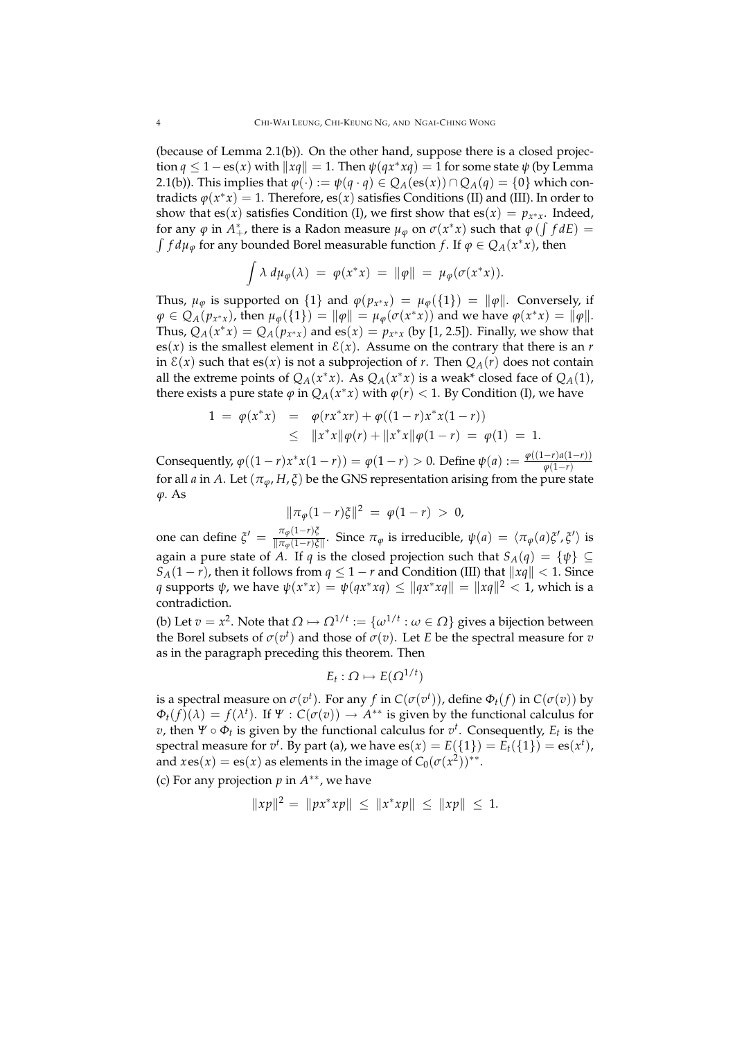(because of Lemma 2.1(b)). On the other hand, suppose there is a closed projection  $q \leq 1 - \mathrm{es}(x)$  with  $||xq|| = 1$ . Then  $\psi(qx^*xq) = 1$  for some state  $\psi$  (by Lemma 2.1(b)). This implies that  $\varphi(\cdot) := \psi(q \cdot q) \in Q_A(\text{es}(x)) \cap Q_A(q) = \{0\}$  which contradicts  $\varphi(x^*x) = 1$ . Therefore, es $(x)$  satisfies Conditions (II) and (III). In order to show that es(*x*) satisfies Condition (I), we first show that es(*x*) =  $p_{x^*x}$ . Indeed, for any  $\varphi$  in  $A^*_+$ , there is a Radon measure  $\mu_\varphi$  on  $\sigma(x^*x)$  such that  $\varphi(\int f dE) =$  $\int f d\mu_{\varphi}$  for any bounded Borel measurable function *f*. If  $\varphi \in Q_A(x^*x)$ , then

$$
\int \lambda \, d\mu_{\varphi}(\lambda) \ = \ \varphi(x^*x) \ = \ \|\varphi\| \ = \ \mu_{\varphi}(\sigma(x^*x)).
$$

Thus,  $\mu_{\varphi}$  is supported on  $\{1\}$  and  $\varphi(p_{x^*x}) = \mu_{\varphi}(\{1\}) = ||\varphi||$ . Conversely, if  $\varphi \in Q_A(p_{x^*x})$ , then  $\mu_{\varphi}(\{1\}) = ||\varphi|| = \mu_{\varphi}(\sigma(x^*x))$  and we have  $\varphi(x^*x) = ||\varphi||$ . Thus,  $Q_A(x^*x) = Q_A(p_{x^*x})$  and es $(x) = p_{x^*x}$  (by [1, 2.5]). Finally, we show that es(*x*) is the smallest element in  $E(x)$ . Assume on the contrary that there is an *r* in  $\mathcal{E}(x)$  such that es(*x*) is not a subprojection of *r*. Then  $Q_A(r)$  does not contain all the extreme points of  $Q_A(x^*x)$ . As  $Q_A(x^*x)$  is a weak\* closed face of  $Q_A(1)$ , there exists a pure state  $\varphi$  in  $Q_A(x^*x)$  with  $\varphi(r) < 1$ . By Condition (I), we have

$$
1 = \varphi(x^*x) = \varphi(rx^*xr) + \varphi((1-r)x^*x(1-r))
$$
  
\$\leq\$  $||x^*x||\varphi(r) + ||x^*x||\varphi(1-r) = \varphi(1) = 1.$ 

Consequently,  $\varphi((1 - r)x^*x(1 - r)) = \varphi(1 - r) > 0$ . Define  $\psi(a) := \frac{\varphi((1 - r)a(1 - r))}{\varphi(1 - r)}$ *ϕ*(1−*r*) for all *a* in *A*. Let  $(\pi_{\varphi}, H, \xi)$  be the GNS representation arising from the pure state *ϕ*. As

$$
\|\pi_{\varphi}(1-r)\xi\|^2 = \varphi(1-r) > 0,
$$

one can define  $\zeta' = \frac{\pi_{\varphi}(1-r)\zeta}{\|\pi_{\varphi}(1-r)\zeta\|}$  $\frac{\pi_{\phi}(1-r)\varsigma}{\|\pi_{\phi}(1-r)\varsigma\|}$ . Since  $\pi_{\phi}$  is irreducible,  $\psi(a) = \langle \pi_{\phi}(a)\xi', \xi' \rangle$  is again a pure state of *A*. If *q* is the closed projection such that  $S_A(q) = \{\psi\} \subseteq$ *S*<sub>*A*</sub>(1 − *r*), then it follows from  $q \leq 1 - r$  and Condition (III) that  $||xq|| < 1$ . Since *q* supports  $\psi$ , we have  $\psi(x^*x) = \psi(qx^*xq) \le ||qx^*xq|| = ||xq||^2 < 1$ , which is a contradiction.

(b) Let *v* = *x*<sup>2</sup>. Note that  $Ω$   $\mapsto$   $Ω^{1/t}$  :  $=$  { $ω^{1/t}$  :  $ω ∈ Ω$ } gives a bijection between the Borel subsets of  $\sigma(v^t)$  and those of  $\sigma(v)$ . Let *E* be the spectral measure for *v* as in the paragraph preceding this theorem. Then

$$
E_t:\Omega\mapsto E(\Omega^{1/t})
$$

is a spectral measure on  $\sigma(v^t)$ . For any  $f$  in  $C(\sigma(v^t))$ , define  $\Phi_t(f)$  in  $C(\sigma(v))$  by  $\Phi_t(f)(\lambda) = f(\lambda^t)$ . If  $\Psi : C(\sigma(v)) \to A^{**}$  is given by the functional calculus for *v*, then  $\Psi \circ \Phi_t$  is given by the functional calculus for  $v^t$ . Consequently,  $E_t$  is the  ${\rm spectral\ measure\ for\ } v^t.$  By part (a), we have  ${\rm es}(x)=E(\{1\})=E_t(\{1\})={\rm es}(x^t),$ and  $x \text{ es}(x) = \text{es}(x)$  as elements in the image of  $C_0(\sigma(x^2))^{**}$ .

(c) For any projection  $p$  in  $A^{**}$ , we have

$$
||xp||^2 = ||px^*xp|| \le ||x^*xp|| \le ||xp|| \le 1.
$$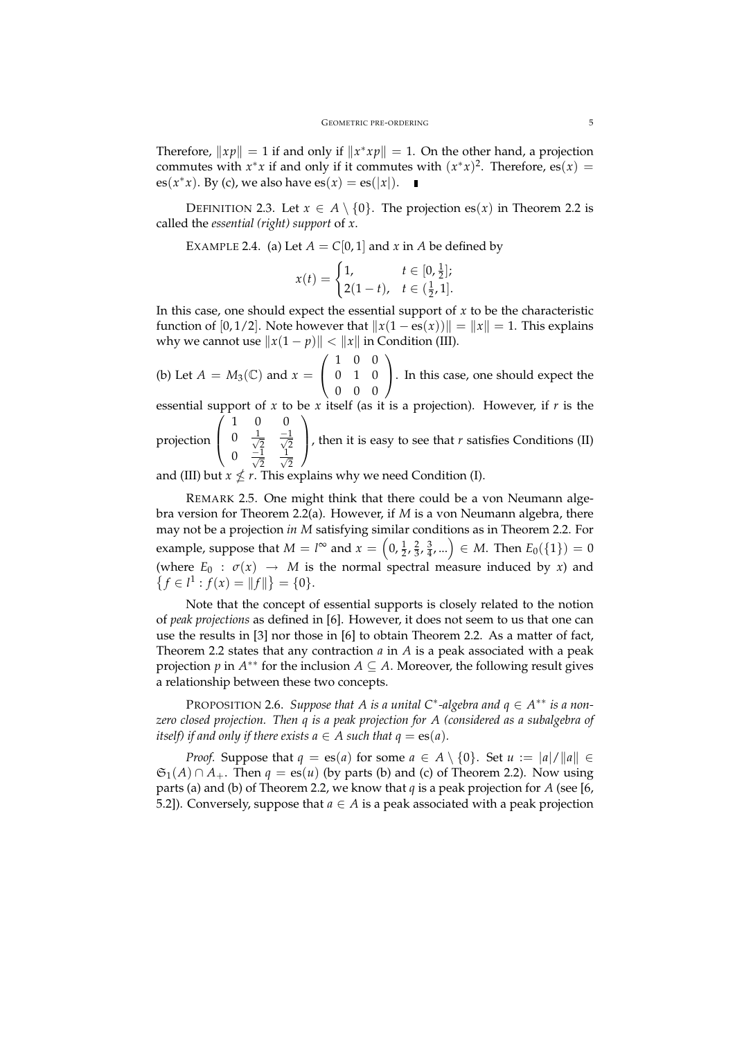Therefore,  $||xp|| = 1$  if and only if  $||x^*xp|| = 1$ . On the other hand, a projection commutes with  $x^*x$  if and only if it commutes with  $(x^*x)^2$ . Therefore, es $(x)$  = es( $x^*x$ ). By (c), we also have  $es(x) = es(|x|)$ .

DEFINITION 2.3. Let  $x \in A \setminus \{0\}$ . The projection es(*x*) in Theorem 2.2 is called the *essential (right) support* of *x*.

EXAMPLE 2.4. (a) Let  $A = C[0, 1]$  and  $x$  in  $A$  be defined by

$$
x(t) = \begin{cases} 1, & t \in [0, \frac{1}{2}]; \\ 2(1-t), & t \in (\frac{1}{2}, 1]. \end{cases}
$$

In this case, one should expect the essential support of  $x$  to be the characteristic function of [0, 1/2]. Note however that  $||x(1 - \text{es}(x))|| = ||x|| = 1$ . This explains why we cannot use  $||x(1 - p)|| < ||x||$  in Condition (III).

(b) Let  $A = M_3(\mathbb{C})$  and  $x =$  $\sqrt{ }$  $\overline{1}$ 1 0 0 0 1 0 0 0 0  $\setminus$ . In this case, one should expect the

essential support of *x* to be *x* itself (as it is a projection). However, if *r* is the  $\sqrt{ }$ 1 0 0  $\setminus$ 

projection  $\overline{ }$  $0 \frac{1}{\sqrt{2}}$ 0  $\frac{1}{\sqrt{2}}$   $\frac{-1}{\sqrt{2}}$ <br>0  $\frac{-1}{\sqrt{2}}$   $\frac{1}{\sqrt{2}}$ 2 , then it is easy to see that  $r$  satisfies Conditions (II)

and (III) but  $x \nleq r$ . This explains why we need Condition (I).

REMARK 2.5. One might think that there could be a von Neumann algebra version for Theorem 2.2(a). However, if *M* is a von Neumann algebra, there may not be a projection *in M* satisfying similar conditions as in Theorem 2.2. For example, suppose that  $M = l^{\infty}$  and  $x = \left(0, \frac{1}{2}, \frac{2}{3}, \frac{3}{4}, ...\right) \in M$ . Then  $E_0(\{1\}) = 0$ (where  $E_0$ :  $\sigma(x) \rightarrow M$  is the normal spectral measure induced by *x*) and  ${f \in l^1 : f(x) = ||f||} = {0}.$ 

Note that the concept of essential supports is closely related to the notion of *peak projections* as defined in [6]. However, it does not seem to us that one can use the results in [3] nor those in [6] to obtain Theorem 2.2. As a matter of fact, Theorem 2.2 states that any contraction *a* in *A* is a peak associated with a peak projection *p* in  $A^{**}$  for the inclusion  $A \subseteq A$ . Moreover, the following result gives a relationship between these two concepts.

PROPOSITION 2.6. Suppose that A is a unital C<sup>\*</sup>-algebra and  $q \in A^{**}$  is a non*zero closed projection. Then q is a peak projection for A (considered as a subalgebra of itself)* if and only if there exists  $a \in A$  such that  $q = \text{es}(a)$ .

*Proof.* Suppose that  $q = \text{es}(a)$  for some  $a \in A \setminus \{0\}$ . Set  $u := |a|/||a|| \in \mathbb{R}$  $\mathfrak{S}_1(A) \cap A_+$ . Then  $q = \text{es}(u)$  (by parts (b) and (c) of Theorem 2.2). Now using parts (a) and (b) of Theorem 2.2, we know that *q* is a peak projection for *A* (see [6, 5.2]). Conversely, suppose that  $a \in A$  is a peak associated with a peak projection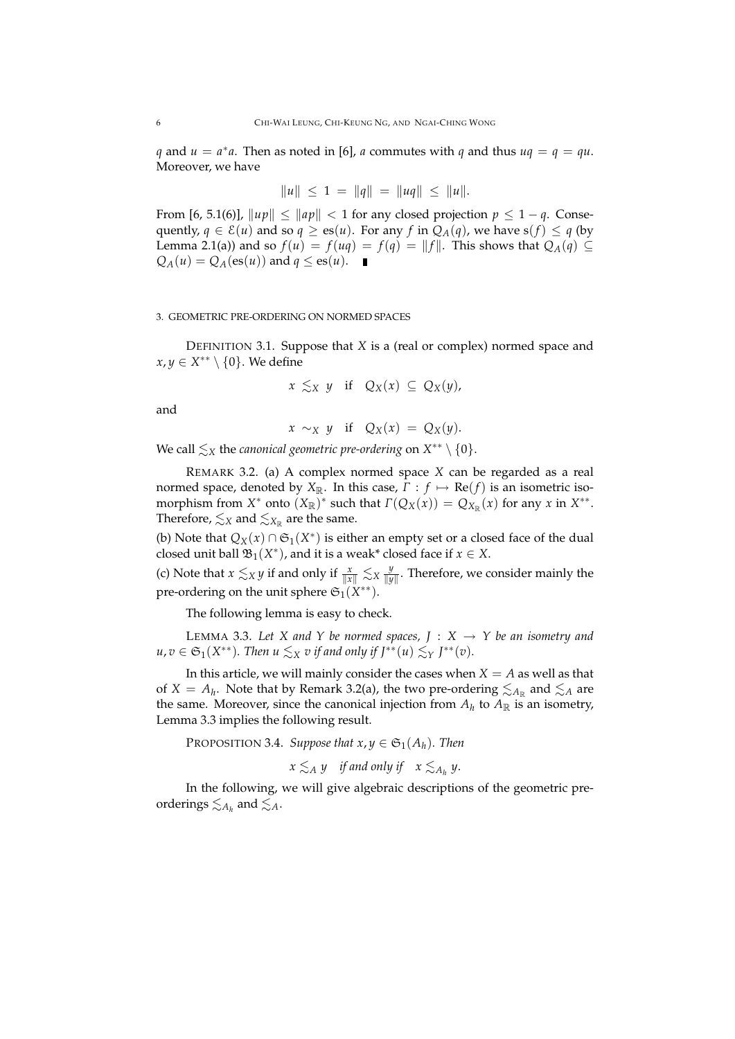*q* and  $u = a^*a$ . Then as noted in [6], *a* commutes with *q* and thus  $uq = q = qu$ . Moreover, we have

$$
||u|| \le 1 = ||q|| = ||uq|| \le ||u||.
$$

From [6, 5.1(6)],  $\|up\| \leq \|ap\| < 1$  for any closed projection  $p \leq 1 - q$ . Consequently,  $q \in \mathcal{E}(u)$  and so  $q \ge \text{es}(u)$ . For any f in  $Q_A(q)$ , we have  $s(f) \le q$  (by Lemma 2.1(a)) and so  $f(u) = f(uq) = f(q) = ||f||$ . This shows that  $Q_A(q) \subseteq$  $Q_A(u) = Q_A(\text{es}(u))$  and  $q \leq \text{es}(u)$ .

## 3. GEOMETRIC PRE-ORDERING ON NORMED SPACES

DEFINITION 3.1. Suppose that *X* is a (real or complex) normed space and *x*, *y* ∈ *X*<sup>\*\*</sup>  $\setminus$  {0}. We define

$$
x \lesssim_X y \quad \text{if} \quad Q_X(x) \subseteq Q_X(y),
$$

and

$$
x \sim_X y \quad \text{if} \quad Q_X(x) = Q_X(y).
$$

We call  $\lesssim_X$  the *canonical geometric pre-ordering* on  $X^{**} \setminus \{0\}$ .

REMARK 3.2. (a) A complex normed space *X* can be regarded as a real normed space, denoted by  $X_{\mathbb{R}}$ . In this case,  $\Gamma : f \mapsto \text{Re}(f)$  is an isometric isomorphism from  $X^*$  onto  $(X_{\mathbb{R}})^*$  such that  $\Gamma(Q_X(x)) = Q_{X_{\mathbb{R}}}(x)$  for any  $x$  in  $X^{**}$ . Therefore,  $\lesssim_X$  and  $\lesssim_{X_\mathbb{R}}$  are the same.

(b) Note that  $Q_X(x) \cap \mathfrak{S}_1(X^*)$  is either an empty set or a closed face of the dual closed unit ball  $\mathfrak{B}_1(X^*)$ , and it is a weak<sup>\*</sup> closed face if  $x \in X$ .

(c) Note that  $x \lesssim_X y$  if and only if  $\frac{x}{\|x\|} \lesssim_X \frac{y}{\|y\|}$ *y*<sub>y</sub><sup>*y*</sup> Therefore, we consider mainly the pre-ordering on the unit sphere  $\mathfrak{S}_1(X^{**}).$ 

The following lemma is easy to check.

LEMMA 3.3. Let X and Y be normed spaces,  $J : X \rightarrow Y$  be an isometry and  $u, v \in \mathfrak{S}_1(X^{**})$ . Then  $u \lesssim_X v$  if and only if  $J^{**}(u) \lesssim_Y J^{**}(v)$ .

In this article, we will mainly consider the cases when  $X = A$  as well as that of  $X = A_h$ . Note that by Remark 3.2(a), the two pre-ordering  $\lesssim_{A_\mathbb{R}}$  and  $\lesssim_A$  are the same. Moreover, since the canonical injection from  $A_h$  to  $A_{\mathbb{R}}$  is an isometry, Lemma 3.3 implies the following result.

PROPOSITION 3.4. *Suppose that*  $x, y \in \mathfrak{S}_1(A_h)$ *. Then* 

$$
x \lesssim_A y \quad \text{if and only if} \quad x \lesssim_{A_h} y.
$$

In the following, we will give algebraic descriptions of the geometric preorderings  $\lesssim_{A_h}$  and  $\lesssim_A$ .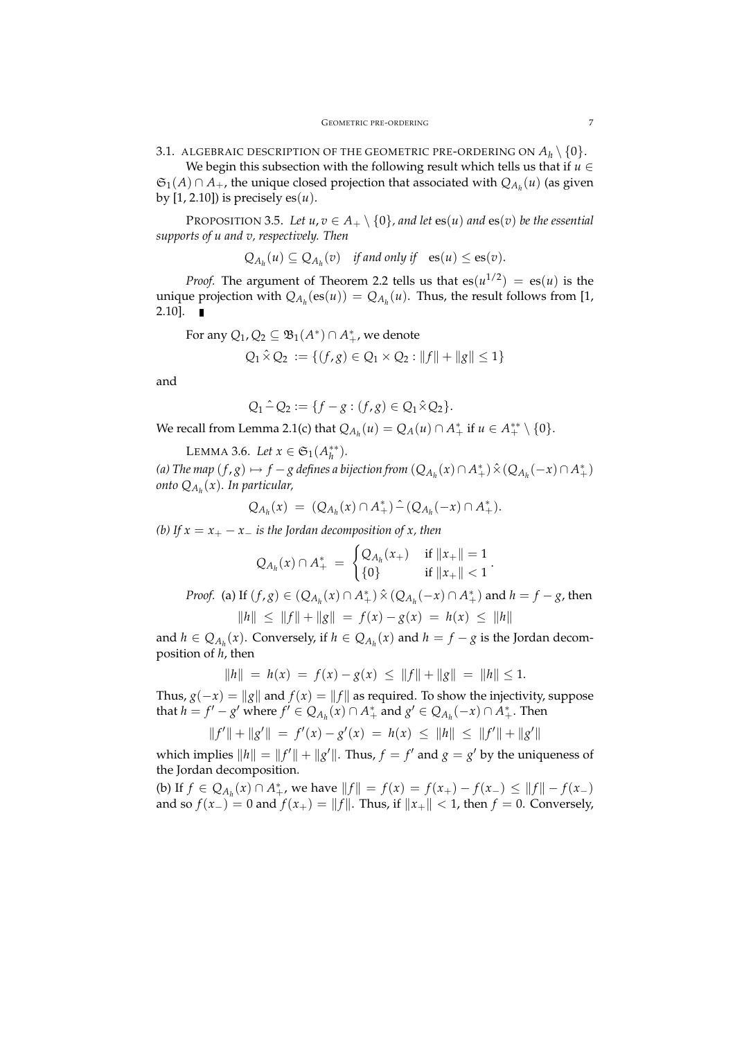3.1. ALGEBRAIC DESCRIPTION OF THE GEOMETRIC PRE-ORDERING ON  $A_h \setminus \{0\}$ .

We begin this subsection with the following result which tells us that if  $u \in$  $\mathfrak{S}_1(A) \cap A_+$ , the unique closed projection that associated with  $Q_{A_h}(u)$  (as given by [1, 2.10]) is precisely es $(u)$ .

PROPOSITION 3.5. Let  $u, v \in A_+ \setminus \{0\}$ , and let  $es(u)$  and  $es(v)$  be the essential *supports of u and v, respectively. Then*

$$
Q_{A_h}(u) \subseteq Q_{A_h}(v)
$$
 if and only if  $es(u) \leq es(v)$ .

*Proof.* The argument of Theorem 2.2 tells us that  $es(u^{1/2}) = es(u)$  is the unique projection with  $Q_{A_h}(\mathbf{es}(u)) = Q_{A_h}(u)$ . Thus, the result follows from [1, 2.10].

For any  $Q_1, Q_2 \subseteq \mathfrak{B}_1(A^*) \cap A^*_+$ , we denote

$$
Q_1 \hat{\times} Q_2 := \{ (f, g) \in Q_1 \times Q_2 : ||f|| + ||g|| \le 1 \}
$$

and

$$
Q_1 \hat{-} Q_2 := \{ f - g : (f, g) \in Q_1 \hat{\times} Q_2 \}.
$$

We recall from Lemma 2.1(c) that  $Q_{A_h}(u) = Q_A(u) \cap A^*_+$  if  $u \in A^{**}_+ \setminus \{0\}.$ 

LEMMA 3.6. *Let*  $x \in \mathfrak{S}_1(A_h^{**})$ *.* 

*(a)* The map  $(f, g)$   $\mapsto$   $f - g$  defines a bijection from  $(Q_{A_h}(x) \cap A^+_+) \hat{\times} (Q_{A_h}(-x) \cap A^*_+)$ *onto QA<sup>h</sup>* (*x*)*. In particular,*

$$
Q_{A_h}(x) = (Q_{A_h}(x) \cap A_+^*) \hat{-} (Q_{A_h}(-x) \cap A_+^*).
$$

*(b)* If  $x = x_+ - x_-$  *is the Jordan decomposition of x, then* 

$$
Q_{A_h}(x) \cap A_+^* \ = \ \begin{cases} Q_{A_h}(x_+) & \text{ if } \|x_+\| = 1 \\ \{0\} & \text{ if } \|x_+\| < 1 \end{cases}.
$$

*Proof.* (a) If  $(f, g) \in (Q_{A_h}(x) \cap A_+^*) \hat{\times} (Q_{A_h}(-x) \cap A_+^*)$  and  $h = f - g$ , then  $\|h\| \le \|f\| + \|g\| = f(x) - g(x) = h(x) \le \|h\|$ 

and  $h \in Q_{A_h}(x)$ . Conversely, if  $h \in Q_{A_h}(x)$  and  $h = f - g$  is the Jordan decomposition of *h*, then

$$
||h|| = h(x) = f(x) - g(x) \le ||f|| + ||g|| = ||h|| \le 1.
$$

Thus,  $g(-x) = ||g||$  and  $f(x) = ||f||$  as required. To show the injectivity, suppose that *h* = *f*<sup> $'$ </sup> − *g*<sup> $'$ </sup> where *f*<sup> $'$ </sup> ∈  $Q_{A_h}(x)$  ∩  $A^*$ <sub>+</sub> and *g*<sup> $'$ </sup> ∈  $Q_{A_h}(-x)$  ∩  $A^*$ <sub>+</sub>. Then

$$
||f'|| + ||g'|| = f'(x) - g'(x) = h(x) \le ||h|| \le ||f'|| + ||g'||
$$

which implies  $||h|| = ||f'|| + ||g'||$ . Thus,  $f = f'$  and  $g = g'$  by the uniqueness of the Jordan decomposition.

(b) If  $f \in Q_{A_h}(x) \cap A_+^*$ , we have  $||f|| = f(x) = f(x_+) - f(x_-) \le ||f|| - f(x_-)$ and so  $f(x_{-}) = 0$  and  $f(x_{+}) = ||f||$ . Thus, if  $||x_{+}|| < 1$ , then  $f = 0$ . Conversely,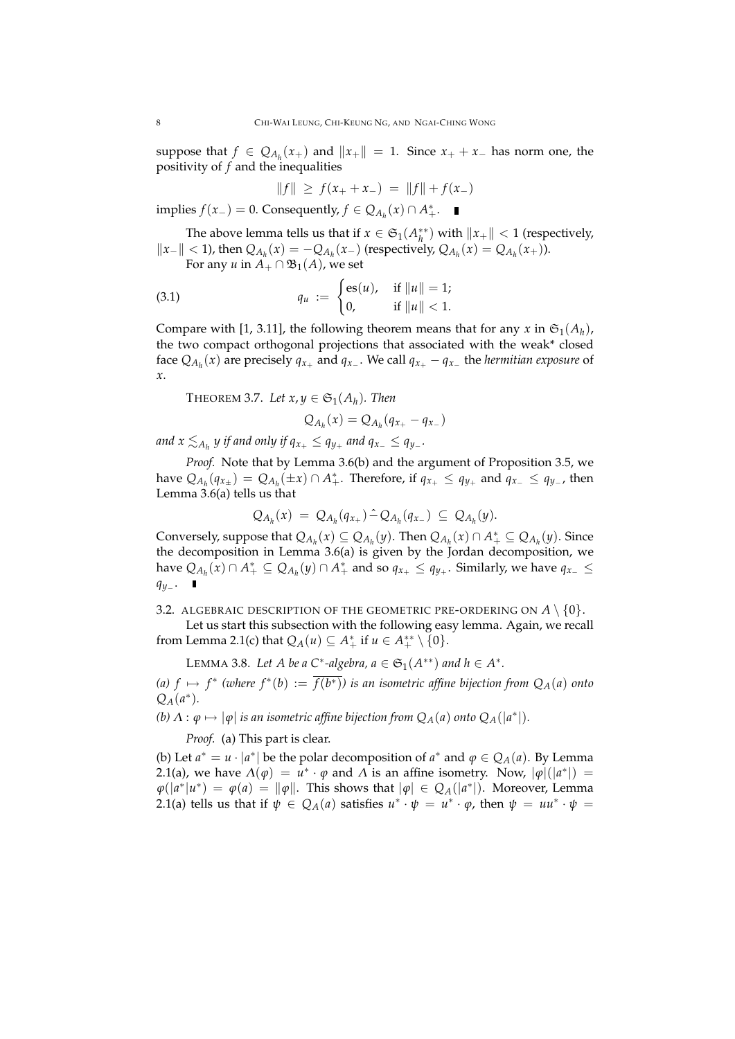suppose that  $f \in Q_{A_h}(x_+)$  and  $||x_+|| = 1$ . Since  $x_+ + x_-$  has norm one, the positivity of *f* and the inequalities

$$
||f|| \ge f(x_+ + x_-) = ||f|| + f(x_-)
$$

implies *f*(*x*<sub>−</sub>) = 0. Consequently, *f* ∈  $Q_{A_h}(x) \cap A_+^*$ .

The above lemma tells us that if  $x \in \mathfrak{S}_1(A_h^{**})$  with  $||x_+|| < 1$  (respectively,  $\|x_-\|$  < 1), then  $Q_{A_h}(x) = -Q_{A_h}(x_-)$  (respectively,  $Q_{A_h}(x) = Q_{A_h}(x_+)$ ).

For any *u* in  $A_+ \cap \mathfrak{B}_1(A)$ , we set

(3.1) 
$$
q_u := \begin{cases} \mathrm{es}(u), & \text{if } ||u|| = 1; \\ 0, & \text{if } ||u|| < 1. \end{cases}
$$

Compare with [1, 3.11], the following theorem means that for any  $x$  in  $\mathfrak{S}_1(A_h)$ , the two compact orthogonal projections that associated with the weak\* closed face  $Q_{A_h}(x)$  are precisely  $q_{x_+}$  and  $q_{x_-}$ . We call  $q_{x_+} - q_{x_-}$  the *hermitian exposure* of *x*.

THEOREM 3.7. Let  $x, y \in \mathfrak{S}_1(A_h)$ . Then

$$
Q_{A_h}(x)=Q_{A_h}(q_{x_+}-q_{x_-})
$$

and  $x \lesssim_{A_h} y$  if and only if  $q_{x_+} \leq q_{y_+}$  and  $q_{x_-} \leq q_{y_-}$ .

*Proof.* Note that by Lemma 3.6(b) and the argument of Proposition 3.5, we have  $Q_{A_h}(q_{x_\pm}) = Q_{A_h}(\pm x) \cap A_+^*$ . Therefore, if  $q_{x_+} \le q_{y_+}$  and  $q_{x_-} \le q_{y_-}$ , then Lemma 3.6(a) tells us that

$$
Q_{A_h}(x) = Q_{A_h}(q_{x+}) - Q_{A_h}(q_{x-}) \subseteq Q_{A_h}(y).
$$

Conversely, suppose that  $Q_{A_h}(x) \subseteq Q_{A_h}(y)$ . Then  $Q_{A_h}(x) \cap A^*_+ \subseteq Q_{A_h}(y)$ . Since the decomposition in Lemma 3.6(a) is given by the Jordan decomposition, we  $Q_{A_h}(x) \cap A^*_+ \subseteq Q_{A_h}(y) \cap A^*_+$  and so  $q_{x_+} \le q_{y_+}$ . Similarly, we have  $q_{x_-} \le$ *qy*<sup>−</sup> .

3.2. ALGEBRAIC DESCRIPTION OF THE GEOMETRIC PRE-ORDERING ON  $A \setminus \{0\}$ .

Let us start this subsection with the following easy lemma. Again, we recall from Lemma 2.1(c) that  $Q_A(u) \subseteq A_+^*$  if  $u \in A_+^{**} \setminus \{0\}.$ 

LEMMA 3.8. Let *A* be a C<sup>\*</sup>-algebra,  $a \in \mathfrak{S}_1(A^{**})$  and  $h \in A^*$ .

*(a) f*  $\mapsto$  *f*<sup>\*</sup> (where *f*<sup>\*</sup>(*b*) :=  $\overline{f(b^*)}$ ) is an isometric affine bijection from Q<sub>*A*</sub>(*a*) onto *QA*(*a* ∗ )*.*

*(b)*  $\Lambda$  :  $\varphi \mapsto |\varphi|$  *is an isometric affine bijection from*  $Q_A(a)$  *onto*  $Q_A(|a^*|)$ *.* 

*Proof.* (a) This part is clear.

(b) Let  $a^* = u \cdot |a^*|$  be the polar decomposition of  $a^*$  and  $\varphi \in Q_A(a)$ . By Lemma 2.1(a), we have  $Λ(φ) = u^* \cdot φ$  and  $Λ$  is an affine isometry. Now,  $|φ|(|a^*|) =$  $\varphi(|a^*|u^*) = \varphi(a) = \|\varphi\|.$  This shows that  $|\varphi| \in Q_A(|a^*|)$ . Moreover, Lemma 2.1(a) tells us that if  $\psi \in Q_A(a)$  satisfies  $u^* \cdot \psi = u^* \cdot \varphi$ , then  $\psi = uu^* \cdot \psi =$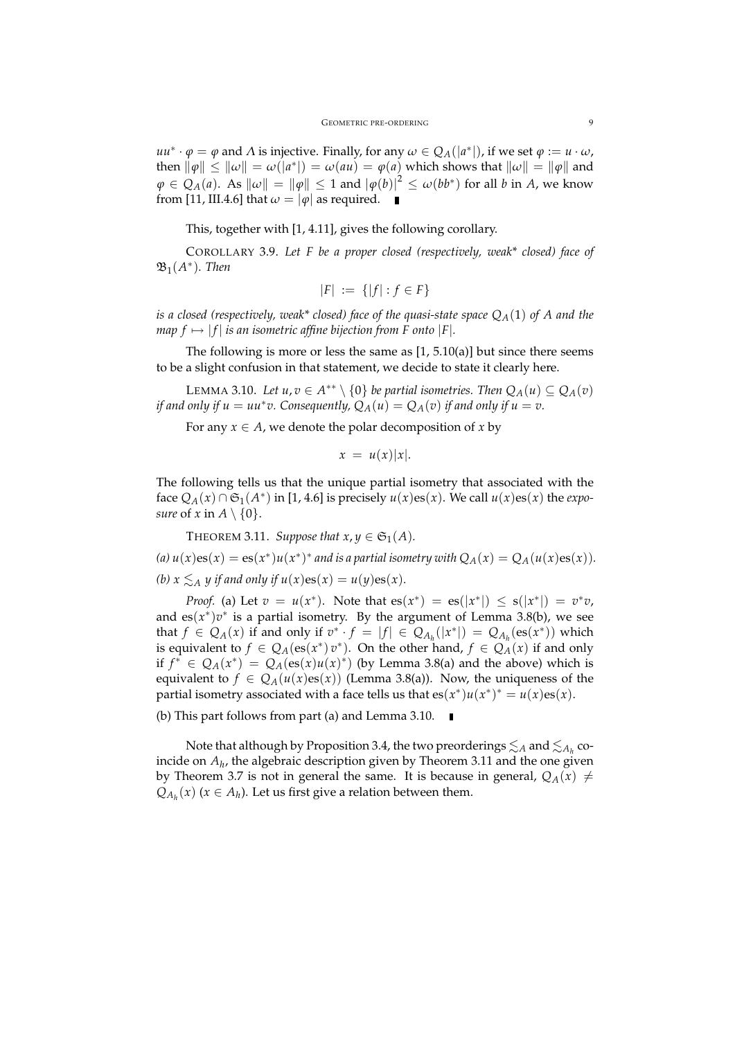*uu*<sup>∗</sup> · *ϕ* = *ϕ* and *Λ* is injective. Finally, for any  $ω ∈ Q<sub>A</sub>(|a<sup>*</sup>|)$ , if we set  $φ := u ⋅ ω$ ,  $\| \phi \| \leq \|\omega \| = \omega(|a^*|) = \omega(au) = \varphi(a)$  which shows that  $\|\omega \| = \|\varphi\|$  and  $\varphi \in Q_A(a).$  As  $\|\omega\| = \|\varphi\| \leq 1$  and  $|\varphi(b)|^2 \leq \omega(bb^*)$  for all  $b$  in  $A$ , we know from [11, III.4.6] that  $\omega = |\varphi|$  as required.

This, together with [1, 4.11], gives the following corollary.

COROLLARY 3.9. *Let F be a proper closed (respectively, weak\* closed) face of*  $\mathfrak{B}_{1}(A^{\ast})$ *. Then* 

$$
|F| := \{ |f| : f \in F \}
$$

*is a closed (respectively, weak\* closed) face of the quasi-state space QA*(1) *of A and the map*  $f \mapsto |f|$  *is an isometric affine bijection from F onto*  $|F|$ *.* 

The following is more or less the same as  $[1, 5.10(a)]$  but since there seems to be a slight confusion in that statement, we decide to state it clearly here.

LEMMA 3.10. *Let u*, *v* ∈ *A*<sup>\*\*</sup>  $\setminus$  {0} *be partial isometries. Then*  $Q_A(u) ⊆ Q_A(v)$ *if and only if u* = *uu*<sup>\*</sup>*v*. Consequently,  $Q_A(u) = Q_A(v)$  *if and only if u* = *v*.

For any  $x \in A$ , we denote the polar decomposition of  $x$  by

$$
x = u(x)|x|.
$$

The following tells us that the unique partial isometry that associated with the face  $Q_A(x) \cap \mathfrak{S}_1(A^*)$  in [1, 4.6] is precisely  $u(x)$ es(*x*). We call  $u(x)$ es(*x*) the *exposure* of *x* in  $A \setminus \{0\}$ .

THEOREM 3.11. *Suppose that*  $x, y \in \mathfrak{S}_1(A)$ .

(a)  $u(x)$  es( $x$ ) = es( $x^*$ ) $u(x^*)^*$  and is a partial isometry with  $Q_A(x) = Q_A(u(x)$ es( $x)$ ). *(b)*  $x \leq_A y$  *if and only if*  $u(x) \text{es}(x) = u(y) \text{es}(x)$ *.* 

*Proof.* (a) Let  $v = u(x^*)$ . Note that  $es(x^*) = es(|x^*|) \leq s(|x^*|) = v^*v$ , and  $es(x^*)v^*$  is a partial isometry. By the argument of Lemma 3.8(b), we see that  $f \in Q_A(x)$  if and only if  $v^* \cdot f = |f| \in Q_{A_h}(|x^*|) = Q_{A_h}(\text{es}(x^*))$  which is equivalent to  $f \in Q_A(\text{es}(x^*) v^*)$ . On the other hand,  $f \in Q_A(x)$  if and only if  $f^* \in Q_A(x^*) = Q_A(\text{es}(x)u(x)^*)$  (by Lemma 3.8(a) and the above) which is equivalent to  $f \in Q_A(u(x)\text{es}(x))$  (Lemma 3.8(a)). Now, the uniqueness of the partial isometry associated with a face tells us that  $es(x^*)u(x^*)^* = u(x)es(x)$ .

(b) This part follows from part (a) and Lemma 3.10.

Note that although by Proposition 3.4, the two preorderings  $\lesssim_A$  and  $\lesssim_{A_h}$  coincide on *A<sup>h</sup>* , the algebraic description given by Theorem 3.11 and the one given by Theorem 3.7 is not in general the same. It is because in general,  $Q_A(x) \neq$  $Q_{A_h}(x)$  ( $x \in A_h$ ). Let us first give a relation between them.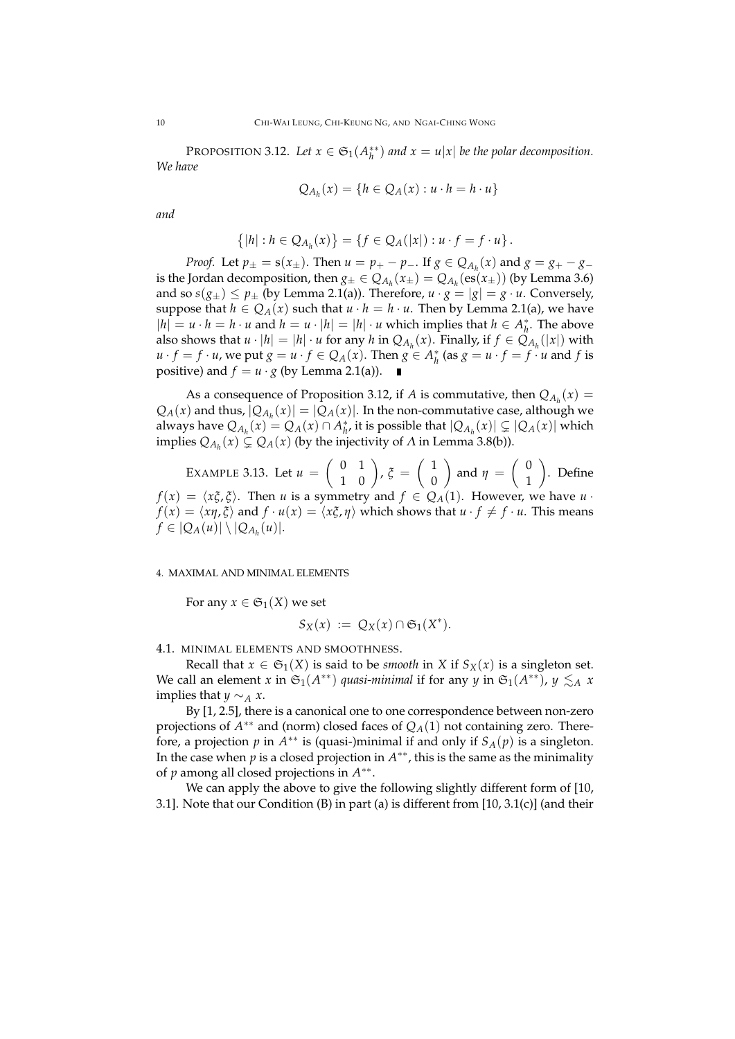PROPOSITION 3.12. Let  $x \in \mathfrak{S}_1(A_h^{**})$  and  $x = u|x|$  be the polar decomposition. *We have*

$$
Q_{A_h}(x) = \{h \in Q_A(x) : u \cdot h = h \cdot u\}
$$

*and*

$$
\{|h|: h \in Q_{A_h}(x)\} = \{f \in Q_A(|x|): u \cdot f = f \cdot u\}.
$$

*Proof.* Let  $p_{\pm} = s(x_{\pm})$ . Then  $u = p_{+} - p_{-}$ . If  $g \in Q_{A_h}(x)$  and  $g = g_{+} - g_{-}$ is the Jordan decomposition, then  $g_{\pm} \in Q_{A_h}(x_{\pm}) = Q_{A_h}(\text{es}(x_{\pm}))$  (by Lemma 3.6) and so  $s(g_{\pm}) \leq p_{\pm}$  (by Lemma 2.1(a)). Therefore,  $u \cdot g = |g| = g \cdot u$ . Conversely, suppose that  $h \in Q_A(x)$  such that  $u \cdot h = h \cdot u$ . Then by Lemma 2.1(a), we have  $|h| = u \cdot h = h \cdot u$  and  $h = u \cdot |h| = |h| \cdot u$  which implies that  $h \in A_h^*$ . The above also shows that  $u \cdot |h| = |h| \cdot u$  for any  $h$  in  $Q_{A_h}(x)$ . Finally, if  $f \in Q_{A_h}(|x|)$  with  $u \cdot f = f \cdot u$ , we put  $g = u \cdot f \in Q_A(x)$ . Then  $g \in A_h^*$  (as  $g = u \cdot f = f \cdot u$  and *f* is positive) and  $f = u \cdot g$  (by Lemma 2.1(a)).

As a consequence of Proposition 3.12, if *A* is commutative, then  $Q_{A_h}(x)$  =  $Q_A(x)$  and thus,  $|Q_{A_h}(x)| = |Q_A(x)|$ . In the non-commutative case, although we always have  $Q_{A_h}(x) = Q_A(x) \cap A_h^*$ , it is possible that  $|Q_{A_h}(x)| \subsetneq |Q_A(x)|$  which implies  $Q_{A_h}(x) \subsetneq Q_A(x)$  (by the injectivity of *Λ* in Lemma 3.8(b)).

EXAMPLE 3.13. Let 
$$
u = \begin{pmatrix} 0 & 1 \\ 1 & 0 \end{pmatrix}
$$
,  $\xi = \begin{pmatrix} 1 \\ 0 \end{pmatrix}$  and  $\eta = \begin{pmatrix} 0 \\ 1 \end{pmatrix}$ . Define  $f(x) = \langle x\xi, \xi \rangle$ . Then *u* is a symmetry and  $f \in Q_A(1)$ . However, we have *u*.

*f*(*x*) =  $\langle x\eta, \xi \rangle$  and *f* · *u*(*x*) =  $\langle x\xi, \eta \rangle$  which shows that  $u \cdot f \neq f \cdot u$ . This means  $f \in |Q_A(u)| \setminus |Q_{A_h}(u)|.$ 

4. MAXIMAL AND MINIMAL ELEMENTS

For any  $x \in \mathfrak{S}_1(X)$  we set

$$
S_X(x) := Q_X(x) \cap \mathfrak{S}_1(X^*).
$$

4.1. MINIMAL ELEMENTS AND SMOOTHNESS.

Recall that  $x \in \mathfrak{S}_1(X)$  is said to be *smooth* in *X* if  $S_X(x)$  is a singleton set. We call an element *x* in  $\mathfrak{S}_1(A^{**})$  *quasi-minimal* if for any *y* in  $\mathfrak{S}_1(A^{**})$ ,  $y \lesssim_A x$ implies that  $y \sim_A x$ .

By [1, 2.5], there is a canonical one to one correspondence between non-zero projections of *A* ∗∗ and (norm) closed faces of *QA*(1) not containing zero. Therefore, a projection *p* in *A* ∗∗ is (quasi-)minimal if and only if *SA*(*p*) is a singleton. In the case when  $p$  is a closed projection in  $A^{**}$ , this is the same as the minimality of *p* among all closed projections in *A* ∗∗ .

We can apply the above to give the following slightly different form of [10, 3.1]. Note that our Condition (B) in part (a) is different from [10, 3.1(c)] (and their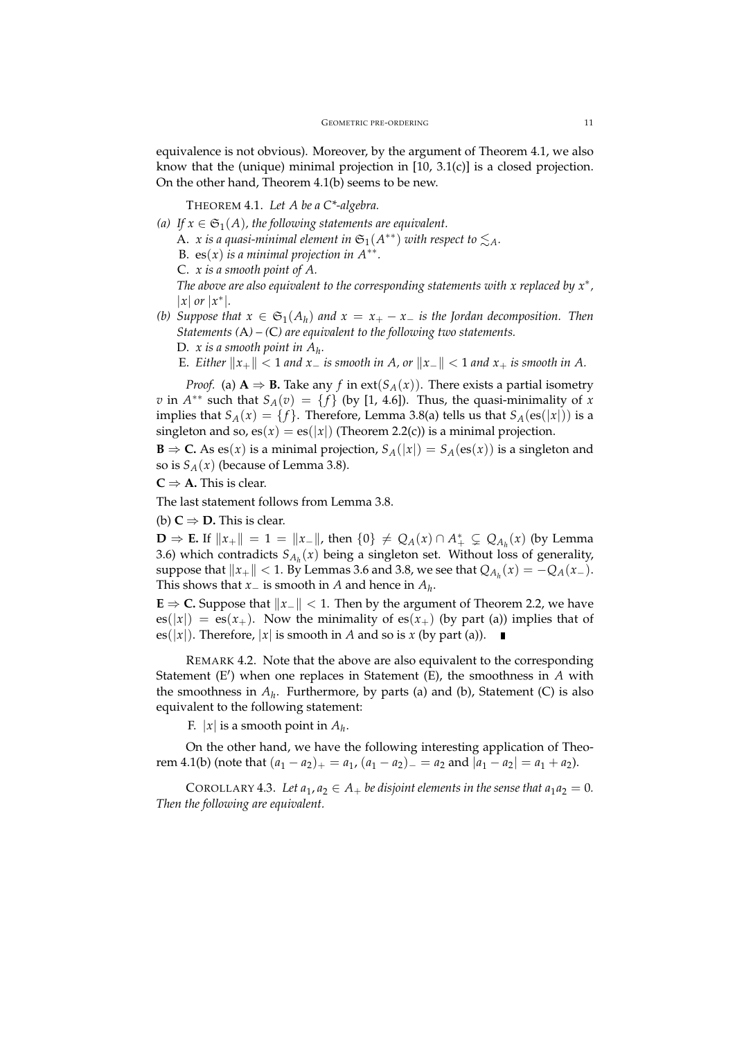equivalence is not obvious). Moreover, by the argument of Theorem 4.1, we also know that the (unique) minimal projection in [10, 3.1(c)] is a closed projection. On the other hand, Theorem 4.1(b) seems to be new.

THEOREM 4.1. *Let A be a C\*-algebra.*

(a) If  $x \in \mathfrak{S}_1(A)$ , the following statements are equivalent.

A. *x* is a quasi-minimal element in  $\mathfrak{S}_1(A^{**})$  with respect to  $\lesssim_A$ .

B.  $es(x)$  *is a minimal projection in*  $A^{**}$ *.* 

C. *x is a smooth point of A.*

*The above are also equivalent to the corresponding statements with x replaced by x*<sup>∗</sup> *,*  $|x|$  *or*  $|x^*|$ .

- *(b)* Suppose that  $x \in \mathfrak{S}_1(A_h)$  and  $x = x_+ x_-$  is the Jordan decomposition. Then *Statements (*A*) – (*C*) are equivalent to the following two statements.*
	- D. *x is a smooth point in A<sup>h</sup> .*

E. Either  $||x_+|| < 1$  and  $x_-$  is smooth in A, or  $||x_-|| < 1$  and  $x_+$  is smooth in A.

*Proof.* (a)  $A \Rightarrow B$ . Take any *f* in ext(*S<sub>A</sub>*(*x*)). There exists a partial isometry *v* in  $A^{**}$  such that  $S_A(v) = \{f\}$  (by [1, 4.6]). Thus, the quasi-minimality of *x* implies that  $S_A(x) = \{f\}$ . Therefore, Lemma 3.8(a) tells us that  $S_A(\text{es}(|x|))$  is a singleton and so,  $es(x) = es(|x|)$  (Theorem 2.2(c)) is a minimal projection.

**B** ⇒ **C.** As es(*x*) is a minimal projection,  $S_A(|x|) = S_A(\text{es}(x))$  is a singleton and so is  $S_A(x)$  (because of Lemma 3.8).

 $C \Rightarrow A$ . This is clear.

The last statement follows from Lemma 3.8.

(b)  $C \Rightarrow D$ . This is clear.

**D** ⇒ **E.** If  $||x_+|| = 1 = ||x_-||$ , then  $\{0\} \neq Q_A(x) \cap A^*$  ⊊  $Q_{A_h}(x)$  (by Lemma 3.6) which contradicts  $S_{A_h}(x)$  being a singleton set. Without loss of generality, suppose that  $\|x_+\| < 1$ . By Lemmas 3.6 and 3.8, we see that  $Q_{A_h}(x) = -Q_A(x_-)$ . This shows that *x*<sup>−</sup> is smooth in *A* and hence in *A<sup>h</sup>* .

**E**  $\Rightarrow$  **C.** Suppose that  $||x|| < 1$ . Then by the argument of Theorem 2.2, we have  $es(|x|) = es(x<sub>+</sub>)$ . Now the minimality of  $es(x<sub>+</sub>)$  (by part (a)) implies that of es( $|x|$ ). Therefore,  $|x|$  is smooth in *A* and so is *x* (by part (a)).

REMARK 4.2. Note that the above are also equivalent to the corresponding Statement (E') when one replaces in Statement (E), the smoothness in *A* with the smoothness in  $A_h$ . Furthermore, by parts (a) and (b), Statement (C) is also equivalent to the following statement:

F.  $|x|$  is a smooth point in  $A_h$ .

On the other hand, we have the following interesting application of Theorem 4.1(b) (note that  $(a_1 - a_2)_+ = a_1$ ,  $(a_1 - a_2)_- = a_2$  and  $|a_1 - a_2| = a_1 + a_2$ ).

COROLLARY 4.3. Let  $a_1, a_2 \in A_+$  be disjoint elements in the sense that  $a_1 a_2 = 0$ . *Then the following are equivalent.*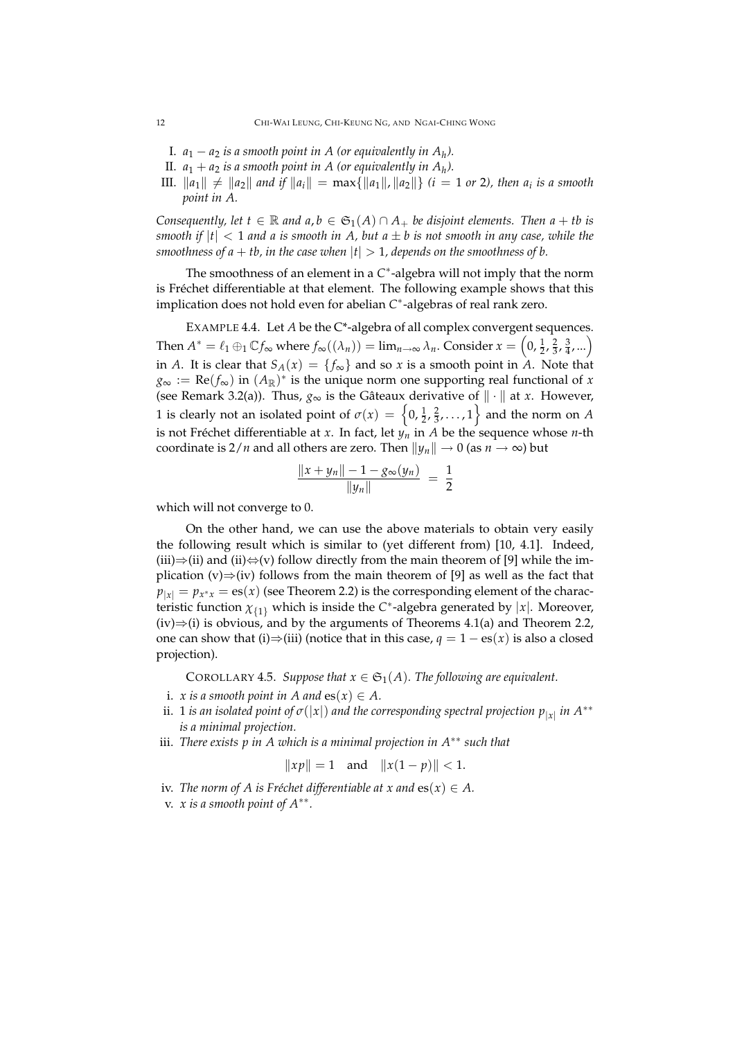- I.  $a_1 a_2$  *is a smooth point in A (or equivalently in*  $A_h$ *).*
- II.  $a_1 + a_2$  *is a smooth point in A (or equivalently in*  $A_h$ *).*
- III.  $\|a_1\| \neq \|a_2\|$  and if  $\|a_i\| = \max\{\|a_1\|, \|a_2\|\}$  (i = 1 or 2), then  $a_i$  is a smooth *point in A.*

*Consequently, let*  $t \in \mathbb{R}$  *and*  $a, b \in \mathfrak{S}_1(A) \cap A_+$  *be disjoint elements. Then*  $a + tb$  *is smooth if*  $|t| < 1$  *and a is smooth in A, but a*  $\pm$  *b is not smooth in any case, while the smoothness of a* + *tb, in the case when*  $|t| > 1$ *, depends on the smoothness of b.* 

The smoothness of an element in a C<sup>\*</sup>-algebra will not imply that the norm is Fréchet differentiable at that element. The following example shows that this implication does not hold even for abelian *C* ∗ -algebras of real rank zero.

EXAMPLE 4.4. Let *A* be the C\*-algebra of all complex convergent sequences. Then  $A^* = \ell_1 \oplus_1 \mathbb{C} f_{\infty}$  where  $f_{\infty}((\lambda_n)) = \lim_{n \to \infty} \lambda_n$ . Consider  $x = \left(0, \frac{1}{2}, \frac{2}{3}, \frac{3}{4}, ...\right)$ in *A*. It is clear that  $S_A(x) = \{f_\infty\}$  and so *x* is a smooth point in *A*. Note that  $g_{\infty} := \text{Re}(f_{\infty})$  in  $(A_{\mathbb{R}})^*$  is the unique norm one supporting real functional of *x* (see Remark 3.2(a)). Thus,  $g_{\infty}$  is the Gâteaux derivative of  $\|\cdot\|$  at *x*. However, 1 is clearly not an isolated point of  $\sigma(x) = \left\{0, \frac{1}{2}, \frac{2}{3}, \ldots, 1\right\}$  and the norm on *A* is not Fréchet differentiable at *x*. In fact, let *y<sup>n</sup>* in *A* be the sequence whose *n*-th coordinate is  $2/n$  and all others are zero. Then  $||y_n|| \to 0$  (as  $n \to \infty$ ) but

$$
\frac{\|x+y_n\|-1-g_{\infty}(y_n)}{\|y_n\|} = \frac{1}{2}
$$

which will not converge to 0.

On the other hand, we can use the above materials to obtain very easily the following result which is similar to (yet different from) [10, 4.1]. Indeed, (iii)⇒(ii) and (ii) $\Leftrightarrow$ (v) follow directly from the main theorem of [9] while the implication (v) $\Rightarrow$ (iv) follows from the main theorem of [9] as well as the fact that  $p_{|x|} = p_{x^*x} = \text{es}(x)$  (see Theorem 2.2) is the corresponding element of the characteristic function  $\chi_{\{1\}}$  which is inside the *C*<sup>\*</sup>-algebra generated by  $|x|$ . Moreover,  $(iv) \Rightarrow (i)$  is obvious, and by the arguments of Theorems 4.1(a) and Theorem 2.2, one can show that (i)⇒(iii) (notice that in this case,  $q = 1 - \text{es}(x)$  is also a closed projection).

COROLLARY 4.5. *Suppose that*  $x \in \mathfrak{S}_1(A)$ *. The following are equivalent.* 

- i. *x* is a smooth point in A and  $es(x) \in A$ .
- $\mathbf{a}$  is an isolated point of  $\sigma(|x|)$  and the corresponding spectral projection  $p_{|x|}$  in  $A^{**}$ *is a minimal projection.*
- iii. *There exists p in A which is a minimal projection in A*∗∗ *such that*

$$
||xp|| = 1
$$
 and  $||x(1-p)|| < 1$ .

- iv. *The norm of A is Fréchet differentiable at x and*  $es(x) \in A$ .
- v. *x is a smooth point of A*∗∗ *.*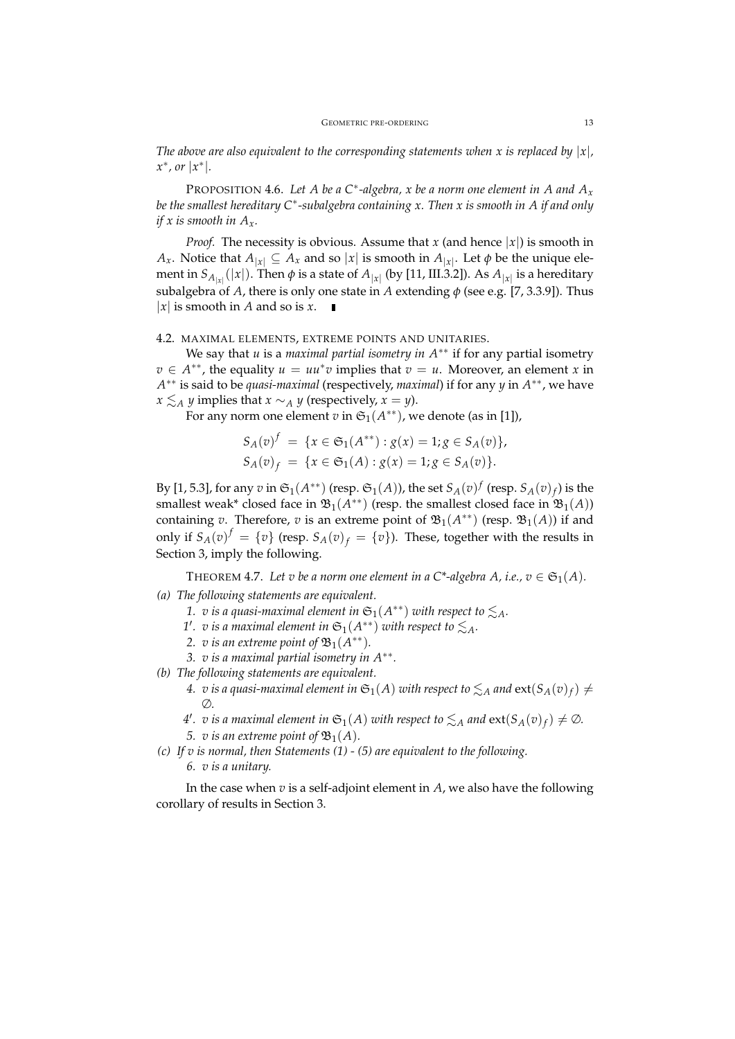*The above are also equivalent to the corresponding statements when x is replaced by*  $|x|$ ,  $x^*$ *, or*  $|x^*|$ *.* 

PROPOSITION 4.6. Let *A* be a C<sup>\*</sup>-algebra, *x* be a norm one element in *A* and  $A_x$ *be the smallest hereditary C*<sup>∗</sup> *-subalgebra containing x. Then x is smooth in A if and only if x is smooth in Ax.*

*Proof.* The necessity is obvious. Assume that *x* (and hence  $|x|$ ) is smooth in *A*<sub>*x*</sub>. Notice that  $A_{|x|} \subseteq A_x$  and so  $|x|$  is smooth in  $A_{|x|}$ . Let  $\phi$  be the unique element in  $S_{A_{|x|}}(|x|)$ . Then  $\phi$  is a state of  $A_{|x|}$  (by [11, III.3.2]). As  $A_{|x|}$  is a hereditary subalgebra of *A*, there is only one state in *A* extending *φ* (see e.g. [7, 3.3.9]). Thus | $x$ | is smooth in *A* and so is  $x$ .

#### 4.2. MAXIMAL ELEMENTS, EXTREME POINTS AND UNITARIES.

We say that *u* is a *maximal partial isometry in A*∗∗ if for any partial isometry  $v \in A^{**}$ , the equality  $u = uu^*v$  implies that  $v = u$ . Moreover, an element *x* in *A* ∗∗ is said to be *quasi-maximal* (respectively, *maximal*) if for any *y* in *A* ∗∗, we have *x*  $\leq$  *A y* implies that *x* ∼*A y* (respectively, *x* = *y*).

For any norm one element  $v$  in  $\mathfrak{S}_1(A^{**})$ , we denote (as in [1]),

$$
S_A(v)^f = \{ x \in \mathfrak{S}_1(A^{**}) : g(x) = 1; g \in S_A(v) \},
$$
  
\n
$$
S_A(v)_f = \{ x \in \mathfrak{S}_1(A) : g(x) = 1; g \in S_A(v) \}.
$$

By [1, 5.3], for any  $v$  in  $\mathfrak{S}_1(A^{**})$  (resp.  $\mathfrak{S}_1(A)$ ), the set  $S_A(v)^f$  (resp.  $S_A(v)_f$ ) is the smallest weak\* closed face in  $\mathfrak{B}_{1}(A^{**})$  (resp. the smallest closed face in  $\mathfrak{B}_{1}(A)$ ) containing *v*. Therefore, *v* is an extreme point of  $\mathfrak{B}_1(A^{**})$  (resp.  $\mathfrak{B}_1(A)$ ) if and only if  $S_A(v)^f = \{v\}$  (resp.  $S_A(v)_f = \{v\}$ ). These, together with the results in Section 3, imply the following.

THEOREM 4.7. Let v be a norm one element in a C<sup>\*</sup>-algebra A, i.e.,  $v \in \mathfrak{S}_1(A)$ .

## *(a) The following statements are equivalent.*

- *1. v* is a quasi-maximal element in  $\mathfrak{S}_1(A^{**})$  with respect to  $\lesssim_A$ .
- *1'*. v is a maximal element in  $\mathfrak{S}_1(A^{**})$  with respect to  $\lesssim_A$ .
- 2. *v* is an extreme point of  $\mathfrak{B}_1(A^{**})$ .
- *3. v is a maximal partial isometry in A*∗∗ *.*

*(b) The following statements are equivalent.*

- 4. v is a quasi-maximal element in  $\mathfrak{S}_1(A)$  with respect to  $\lesssim_A$  and  $\text{ext}(S_A(v)_f) \neq 0$ ∅*.*
- *4'*. v is a maximal element in  $\mathfrak{S}_1(A)$  with respect to  $\lesssim_A$  and  $ext(S_A(v)_f) \neq \emptyset$ .

*5. v is an extreme point of*  $\mathfrak{B}_1(A)$ *.* 

*(c) If v is normal, then Statements (1) - (5) are equivalent to the following. 6. v is a unitary.*

In the case when *v* is a self-adjoint element in *A*, we also have the following corollary of results in Section 3.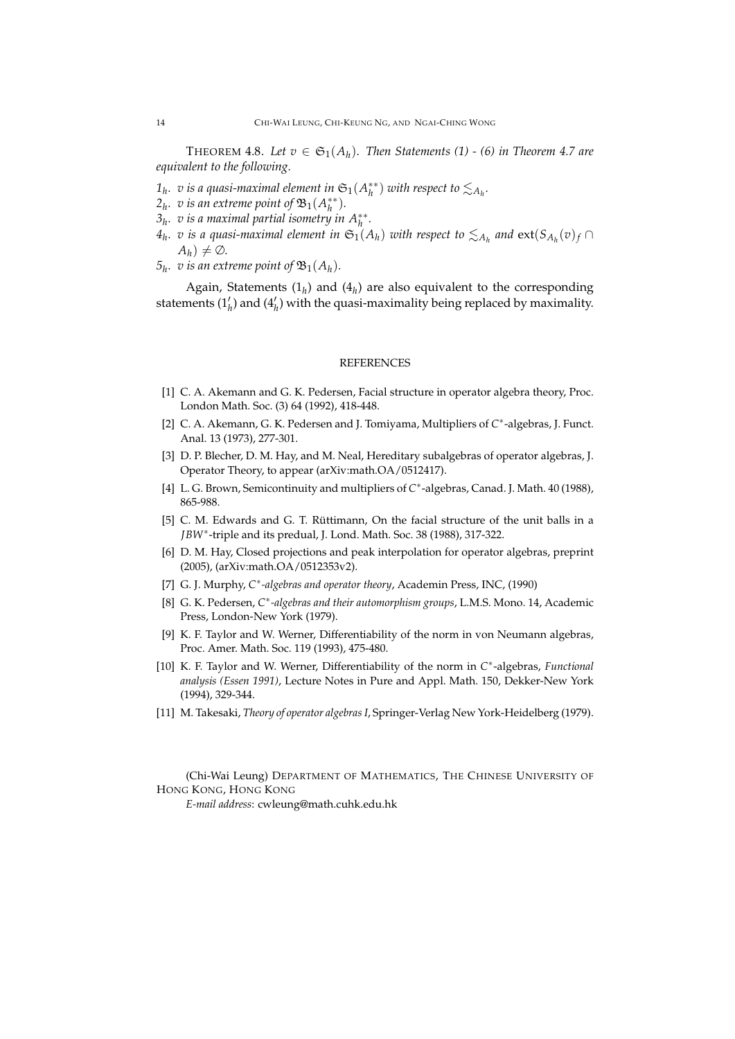THEOREM 4.8. Let  $v \in \mathfrak{S}_1(A_h)$ . Then Statements (1) - (6) in Theorem 4.7 are *equivalent to the following.*

- $1_h$ *. v* is a quasi-maximal element in  $\mathfrak{S}_1(A_h^{**})$  with respect to  $\lesssim_{A_h}$ .
- $2_h$ *. v* is an extreme point of  $\mathfrak{B}_1(A_h^{**})$ *.*
- $3_h$ . *v* is a maximal partial isometry in  $A_h^{**}$ .
- $4_h$ . v is a quasi-maximal element in  $\mathfrak{S}_1(\mathcal{A}_h)$  with respect to  $\lesssim_{A_h}$  and  $ext(S_{A_h}(v)_f \cap$  $A_h$ )  $\neq \emptyset$ .
- $5<sub>h</sub>$ *.* v is an extreme point of  $\mathfrak{B}_{1}(A_{h})$ *.*

Again, Statements  $(1_h)$  and  $(4_h)$  are also equivalent to the corresponding statements  $(1'_h)$  and  $(4'_h)$  with the quasi-maximality being replaced by maximality.

#### **REFERENCES**

- [1] C. A. Akemann and G. K. Pedersen, Facial structure in operator algebra theory, Proc. London Math. Soc. (3) 64 (1992), 418-448.
- [2] C. A. Akemann, G. K. Pedersen and J. Tomiyama, Multipliers of C<sup>\*</sup>-algebras, J. Funct. Anal. 13 (1973), 277-301.
- [3] D. P. Blecher, D. M. Hay, and M. Neal, Hereditary subalgebras of operator algebras, J. Operator Theory, to appear (arXiv:math.OA/0512417).
- [4] L. G. Brown, Semicontinuity and multipliers of C<sup>\*</sup>-algebras, Canad. J. Math. 40 (1988), 865-988.
- [5] C. M. Edwards and G. T. Rüttimann, On the facial structure of the unit balls in a *JBW*<sup>∗</sup> -triple and its predual, J. Lond. Math. Soc. 38 (1988), 317-322.
- [6] D. M. Hay, Closed projections and peak interpolation for operator algebras, preprint (2005), (arXiv:math.OA/0512353v2).
- [7] G. J. Murphy, C<sup>\*</sup>-algebras and operator theory, Academin Press, INC, (1990)
- [8] G. K. Pedersen, C<sup>\*</sup>-algebras and their automorphism groups, L.M.S. Mono. 14, Academic Press, London-New York (1979).
- [9] K. F. Taylor and W. Werner, Differentiability of the norm in von Neumann algebras, Proc. Amer. Math. Soc. 119 (1993), 475-480.
- [10] K. F. Taylor and W. Werner, Differentiability of the norm in C<sup>\*</sup>-algebras, *Functional analysis (Essen 1991)*, Lecture Notes in Pure and Appl. Math. 150, Dekker-New York (1994), 329-344.
- [11] M. Takesaki, *Theory of operator algebras I*, Springer-Verlag New York-Heidelberg (1979).

(Chi-Wai Leung) DEPARTMENT OF MATHEMATICS, THE CHINESE UNIVERSITY OF HONG KONG, HONG KONG

*E-mail address*: cwleung@math.cuhk.edu.hk